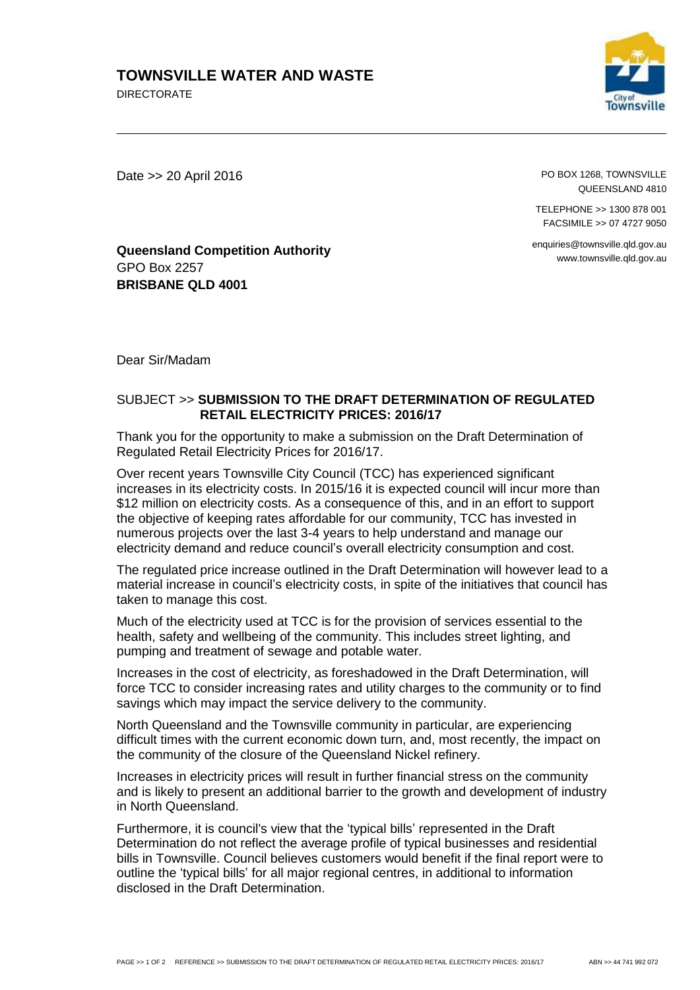## **TOWNSVILLE WATER AND WASTE**

DIRECTORATE



Date >> 20 April 2016

PO BOX 1268, TOWNSVILLE QUEENSLAND 4810

TELEPHONE >> 1300 878 001 FACSIMILE >> 07 4727 9050

enquiries@townsville.qld.gov.au www.townsville.qld.gov.au

**Queensland Competition Authority** GPO Box 2257 **BRISBANE QLD 4001**

Dear Sir/Madam

## SUBJECT >> **SUBMISSION TO THE DRAFT DETERMINATION OF REGULATED RETAIL ELECTRICITY PRICES: 2016/17**

Thank you for the opportunity to make a submission on the Draft Determination of Regulated Retail Electricity Prices for 2016/17.

Over recent years Townsville City Council (TCC) has experienced significant increases in its electricity costs. In 2015/16 it is expected council will incur more than \$12 million on electricity costs. As a consequence of this, and in an effort to support the objective of keeping rates affordable for our community, TCC has invested in numerous projects over the last 3-4 years to help understand and manage our electricity demand and reduce council's overall electricity consumption and cost.

The regulated price increase outlined in the Draft Determination will however lead to a material increase in council's electricity costs, in spite of the initiatives that council has taken to manage this cost.

Much of the electricity used at TCC is for the provision of services essential to the health, safety and wellbeing of the community. This includes street lighting, and pumping and treatment of sewage and potable water.

Increases in the cost of electricity, as foreshadowed in the Draft Determination, will force TCC to consider increasing rates and utility charges to the community or to find savings which may impact the service delivery to the community.

North Queensland and the Townsville community in particular, are experiencing difficult times with the current economic down turn, and, most recently, the impact on the community of the closure of the Queensland Nickel refinery.

Increases in electricity prices will result in further financial stress on the community and is likely to present an additional barrier to the growth and development of industry in North Queensland.

Furthermore, it is council's view that the 'typical bills' represented in the Draft Determination do not reflect the average profile of typical businesses and residential bills in Townsville. Council believes customers would benefit if the final report were to outline the 'typical bills' for all major regional centres, in additional to information disclosed in the Draft Determination.